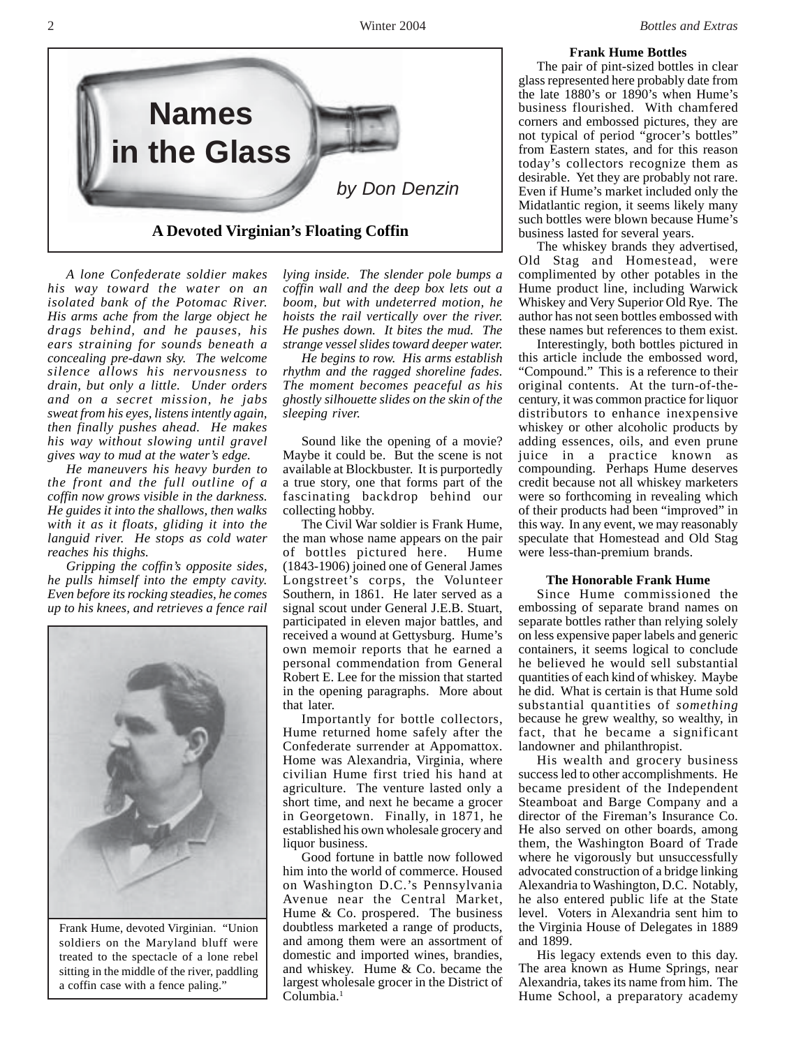

*A lone Confederate soldier makes his way toward the water on an isolated bank of the Potomac River. His arms ache from the large object he drags behind, and he pauses, his ears straining for sounds beneath a concealing pre-dawn sky. The welcome silence allows his nervousness to drain, but only a little. Under orders and on a secret mission, he jabs sweat from his eyes, listens intently again, then finally pushes ahead. He makes his way without slowing until gravel gives way to mud at the water's edge.*

*He maneuvers his heavy burden to the front and the full outline of a coffin now grows visible in the darkness. He guides it into the shallows, then walks with it as it floats, gliding it into the languid river. He stops as cold water reaches his thighs.*

*Gripping the coffin's opposite sides, he pulls himself into the empty cavity. Even before its rocking steadies, he comes up to his knees, and retrieves a fence rail*



Frank Hume, devoted Virginian. "Union soldiers on the Maryland bluff were treated to the spectacle of a lone rebel sitting in the middle of the river, paddling a coffin case with a fence paling."

*lying inside. The slender pole bumps a coffin wall and the deep box lets out a boom, but with undeterred motion, he hoists the rail vertically over the river. He pushes down. It bites the mud. The strange vessel slides toward deeper water.*

*He begins to row. His arms establish rhythm and the ragged shoreline fades. The moment becomes peaceful as his ghostly silhouette slides on the skin of the sleeping river.*

Sound like the opening of a movie? Maybe it could be. But the scene is not available at Blockbuster. It is purportedly a true story, one that forms part of the fascinating backdrop behind our collecting hobby.

The Civil War soldier is Frank Hume, the man whose name appears on the pair of bottles pictured here. Hume (1843-1906) joined one of General James Longstreet's corps, the Volunteer Southern, in 1861. He later served as a signal scout under General J.E.B. Stuart, participated in eleven major battles, and received a wound at Gettysburg. Hume's own memoir reports that he earned a personal commendation from General Robert E. Lee for the mission that started in the opening paragraphs. More about that later.

Importantly for bottle collectors, Hume returned home safely after the Confederate surrender at Appomattox. Home was Alexandria, Virginia, where civilian Hume first tried his hand at agriculture. The venture lasted only a short time, and next he became a grocer in Georgetown. Finally, in 1871, he established his own wholesale grocery and liquor business.

Good fortune in battle now followed him into the world of commerce. Housed on Washington D.C.'s Pennsylvania Avenue near the Central Market, Hume & Co. prospered. The business doubtless marketed a range of products, and among them were an assortment of domestic and imported wines, brandies, and whiskey. Hume & Co. became the largest wholesale grocer in the District of Columbia.<sup>1</sup>

## **Frank Hume Bottles**

The pair of pint-sized bottles in clear glass represented here probably date from the late 1880's or 1890's when Hume's business flourished. With chamfered corners and embossed pictures, they are not typical of period "grocer's bottles" from Eastern states, and for this reason today's collectors recognize them as desirable. Yet they are probably not rare. Even if Hume's market included only the Midatlantic region, it seems likely many such bottles were blown because Hume's business lasted for several years.

The whiskey brands they advertised, Old Stag and Homestead, were complimented by other potables in the Hume product line, including Warwick Whiskey and Very Superior Old Rye. The author has not seen bottles embossed with these names but references to them exist.

Interestingly, both bottles pictured in this article include the embossed word, "Compound." This is a reference to their original contents. At the turn-of-thecentury, it was common practice for liquor distributors to enhance inexpensive whiskey or other alcoholic products by adding essences, oils, and even prune juice in a practice known as compounding. Perhaps Hume deserves credit because not all whiskey marketers were so forthcoming in revealing which of their products had been "improved" in this way. In any event, we may reasonably speculate that Homestead and Old Stag were less-than-premium brands.

## **The Honorable Frank Hume**

Since Hume commissioned the embossing of separate brand names on separate bottles rather than relying solely on less expensive paper labels and generic containers, it seems logical to conclude he believed he would sell substantial quantities of each kind of whiskey. Maybe he did. What is certain is that Hume sold substantial quantities of *something* because he grew wealthy, so wealthy, in fact, that he became a significant landowner and philanthropist.

His wealth and grocery business success led to other accomplishments. He became president of the Independent Steamboat and Barge Company and a director of the Fireman's Insurance Co. He also served on other boards, among them, the Washington Board of Trade where he vigorously but unsuccessfully advocated construction of a bridge linking Alexandria to Washington, D.C. Notably, he also entered public life at the State level. Voters in Alexandria sent him to the Virginia House of Delegates in 1889 and 1899.

His legacy extends even to this day. The area known as Hume Springs, near Alexandria, takes its name from him. The Hume School, a preparatory academy